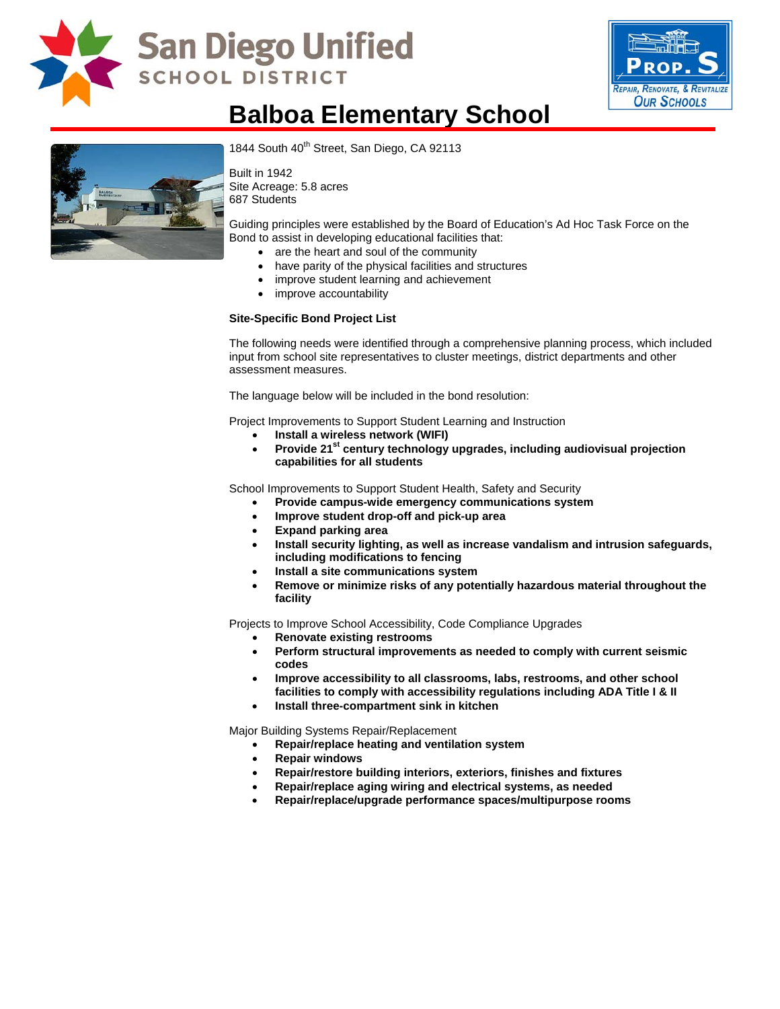

## **San Diego Unified SCHOOL DISTRICT**



## **Balboa Elementary School**



1844 South 40<sup>th</sup> Street, San Diego, CA 92113

Built in 1942 Site Acreage: 5.8 acres 687 Students

Guiding principles were established by the Board of Education's Ad Hoc Task Force on the Bond to assist in developing educational facilities that:

- are the heart and soul of the community
- have parity of the physical facilities and structures
- improve student learning and achievement
- improve accountability

#### **Site-Specific Bond Project List**

The following needs were identified through a comprehensive planning process, which included input from school site representatives to cluster meetings, district departments and other assessment measures.

The language below will be included in the bond resolution:

Project Improvements to Support Student Learning and Instruction

- **Install a wireless network (WIFI)**
- Provide 21<sup>st</sup> century technology upgrades, including audiovisual projection **capabilities for all students**

School Improvements to Support Student Health, Safety and Security

- **Provide campus-wide emergency communications system**
- **Improve student drop-off and pick-up area**
- **Expand parking area**
- **Install security lighting, as well as increase vandalism and intrusion safeguards, including modifications to fencing**
- **Install a site communications system**
- **Remove or minimize risks of any potentially hazardous material throughout the facility**

Projects to Improve School Accessibility, Code Compliance Upgrades

- **Renovate existing restrooms**
- **Perform structural improvements as needed to comply with current seismic codes**
- **Improve accessibility to all classrooms, labs, restrooms, and other school facilities to comply with accessibility regulations including ADA Title I & II**
- **Install three-compartment sink in kitchen**

Major Building Systems Repair/Replacement

- **Repair/replace heating and ventilation system**
- **Repair windows**
- **Repair/restore building interiors, exteriors, finishes and fixtures**
- **Repair/replace aging wiring and electrical systems, as needed**
- **Repair/replace/upgrade performance spaces/multipurpose rooms**